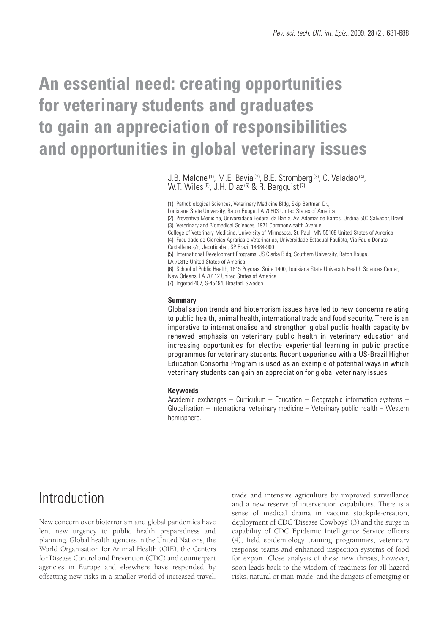# **An essential need: creating opportunities for veterinary students and graduates to gain an appreciation of responsibilities and opportunities in global veterinary issues**

J.B. Malone (1), M.E. Bavia (2), B.E. Stromberg (3), C. Valadao (4), W.T. Wiles (5), J.H. Diaz (6) & R. Bergquist (7)

(1) Pathobiological Sciences, Veterinary Medicine Bldg, Skip Bertman Dr.,

Louisiana State University, Baton Rouge, LA 70803 United States of America

(2) Preventive Medicine, Universidade Federal da Bahia, Av. Adamar de Barros, Ondina 500 Salvador, Brazil (3) Veterinary and Biomedical Sciences, 1971 Commonwealth Avenue,

College of Veterinary Medicine, University of Minnesota, St. Paul, MN 55108 United States of America (4) Faculdade de Ciencias Agrarias e Veterinarias, Universidade Estadual Paulista, Via Paulo Donato Castellane s/n, Jaboticabal, SP Brazil 14884-900

(5) International Development Programs, JS Clarke Bldg, Southern University, Baton Rouge,

LA 70813 United States of America

(6) School of Public Health, 1615 Poydras, Suite 1400, Louisiana State University Health Sciences Center, New Orleans, LA 70112 United States of America

(7) Ingerod 407, S-45494, Brastad, Sweden

#### **Summary**

Globalisation trends and bioterrorism issues have led to new concerns relating to public health, animal health, international trade and food security. There is an imperative to internationalise and strengthen global public health capacity by renewed emphasis on veterinary public health in veterinary education and increasing opportunities for elective experiential learning in public practice programmes for veterinary students. Recent experience with a US-Brazil Higher Education Consortia Program is used as an example of potential ways in which veterinary students can gain an appreciation for global veterinary issues.

#### **Keywords**

Academic exchanges – Curriculum – Education – Geographic information systems – Globalisation – International veterinary medicine – Veterinary public health – Western hemisphere.

## Introduction

New concern over bioterrorism and global pandemics have lent new urgency to public health preparedness and planning. Global health agencies in the United Nations, the World Organisation for Animal Health (OIE), the Centers for Disease Control and Prevention (CDC) and counterpart agencies in Europe and elsewhere have responded by offsetting new risks in a smaller world of increased travel, trade and intensive agriculture by improved surveillance and a new reserve of intervention capabilities. There is a sense of medical drama in vaccine stockpile-creation, deployment of CDC 'Disease Cowboys' (3) and the surge in capability of CDC Epidemic Intelligence Service officers (4), field epidemiology training programmes, veterinary response teams and enhanced inspection systems of food for export. Close analysis of these new threats, however, soon leads back to the wisdom of readiness for all-hazard risks, natural or man-made, and the dangers of emerging or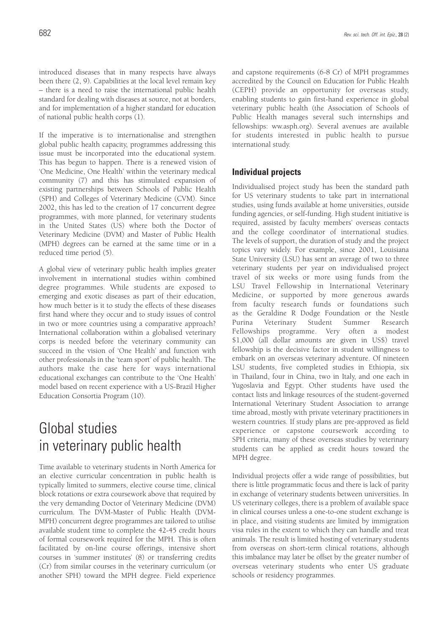introduced diseases that in many respects have always been there (2, 9). Capabilities at the local level remain key – there is a need to raise the international public health standard for dealing with diseases at source, not at borders, and for implementation of a higher standard for education of national public health corps (1).

If the imperative is to internationalise and strengthen global public health capacity, programmes addressing this issue must be incorporated into the educational system. This has begun to happen. There is a renewed vision of 'One Medicine, One Health' within the veterinary medical community (7) and this has stimulated expansion of existing partnerships between Schools of Public Health (SPH) and Colleges of Veterinary Medicine (CVM). Since 2002, this has led to the creation of 17 concurrent degree programmes, with more planned, for veterinary students in the United States (US) where both the Doctor of Veterinary Medicine (DVM) and Master of Public Health (MPH) degrees can be earned at the same time or in a reduced time period (5).

A global view of veterinary public health implies greater involvement in international studies within combined degree programmes. While students are exposed to emerging and exotic diseases as part of their education, how much better is it to study the effects of these diseases first hand where they occur and to study issues of control in two or more countries using a comparative approach? International collaboration within a globalised veterinary corps is needed before the veterinary community can succeed in the vision of 'One Health' and function with other professionals in the 'team sport' of public health. The authors make the case here for ways international educational exchanges can contribute to the 'One Health' model based on recent experience with a US-Brazil Higher Education Consortia Program (10).

# Global studies in veterinary public health

Time available to veterinary students in North America for an elective curricular concentration in public health is typically limited to summers, elective course time, clinical block rotations or extra coursework above that required by the very demanding Doctor of Veterinary Medicine (DVM) curriculum. The DVM-Master of Public Health (DVM-MPH) concurrent degree programmes are tailored to utilise available student time to complete the 42-45 credit hours of formal coursework required for the MPH. This is often facilitated by on-line course offerings, intensive short courses in 'summer institutes' (8) or transferring credits (Cr) from similar courses in the veterinary curriculum (or another SPH) toward the MPH degree. Field experience and capstone requirements (6-8 Cr) of MPH programmes accredited by the Council on Education for Public Health (CEPH) provide an opportunity for overseas study, enabling students to gain first-hand experience in global veterinary public health (the Association of Schools of Public Health manages several such internships and fellowships: ww.asph.org). Several avenues are available for students interested in public health to pursue international study.

### **Individual projects**

Individualised project study has been the standard path for US veterinary students to take part in international studies, using funds available at home universities, outside funding agencies, or self-funding. High student initiative is required, assisted by faculty members' overseas contacts and the college coordinator of international studies. The levels of support, the duration of study and the project topics vary widely. For example, since 2001, Louisiana State University (LSU) has sent an average of two to three veterinary students per year on individualised project travel of six weeks or more using funds from the LSU Travel Fellowship in International Veterinary Medicine, or supported by more generous awards from faculty research funds or foundations such as the Geraldine R Dodge Foundation or the Nestle Purina Veterinary Student Summer Research Fellowships programme. Very often a modest \$1,000 (all dollar amounts are given in US\$) travel fellowship is the decisive factor in student willingness to embark on an overseas veterinary adventure. Of nineteen LSU students, five completed studies in Ethiopia, six in Thailand, four in China, two in Italy, and one each in Yugoslavia and Egypt. Other students have used the contact lists and linkage resources of the student-governed International Veterinary Student Association to arrange time abroad, mostly with private veterinary practitioners in western countries. If study plans are pre-approved as field experience or capstone coursework according to SPH criteria, many of these overseas studies by veterinary students can be applied as credit hours toward the MPH degree.

Individual projects offer a wide range of possibilities, but there is little programmatic focus and there is lack of parity in exchange of veterinary students between universities. In US veterinary colleges, there is a problem of available space in clinical courses unless a one-to-one student exchange is in place, and visiting students are limited by immigration visa rules in the extent to which they can handle and treat animals. The result is limited hosting of veterinary students from overseas on short-term clinical rotations, although this imbalance may later be offset by the greater number of overseas veterinary students who enter US graduate schools or residency programmes.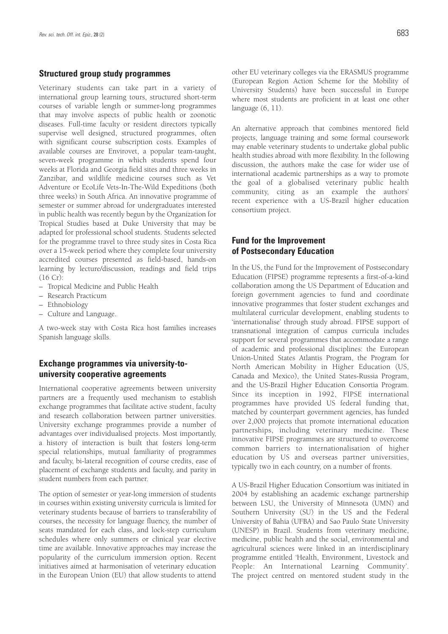#### **Structured group study programmes**

Veterinary students can take part in a variety of international group learning tours, structured short-term courses of variable length or summer-long programmes that may involve aspects of public health or zoonotic diseases. Full-time faculty or resident directors typically supervise well designed, structured programmes, often with significant course subscription costs. Examples of available courses are Envirovet, a popular team-taught, seven-week programme in which students spend four weeks at Florida and Georgia field sites and three weeks in Zanzibar, and wildlife medicine courses such as Vet Adventure or EcoLife Vets-In-The-Wild Expeditions (both three weeks) in South Africa. An innovative programme of semester or summer abroad for undergraduates interested in public health was recently begun by the Organization for Tropical Studies based at Duke University that may be adapted for professional school students. Students selected for the programme travel to three study sites in Costa Rica over a 15-week period where they complete four university accredited courses presented as field-based, hands-on learning by lecture/discussion, readings and field trips (16 Cr):

- Tropical Medicine and Public Health
- Research Practicum
- Ethnobiology
- Culture and Language.

A two-week stay with Costa Rica host families increases Spanish language skills.

### **Exchange programmes via university-touniversity cooperative agreements**

International cooperative agreements between university partners are a frequently used mechanism to establish exchange programmes that facilitate active student, faculty and research collaboration between partner universities. University exchange programmes provide a number of advantages over individualised projects. Most importantly, a history of interaction is built that fosters long-term special relationships, mutual familiarity of programmes and faculty, bi-lateral recognition of course credits, ease of placement of exchange students and faculty, and parity in student numbers from each partner.

The option of semester or year-long immersion of students in courses within existing university curricula is limited for veterinary students because of barriers to transferability of courses, the necessity for language fluency, the number of seats mandated for each class, and lock-step curriculum schedules where only summers or clinical year elective time are available. Innovative approaches may increase the popularity of the curriculum immersion option. Recent initiatives aimed at harmonisation of veterinary education in the European Union (EU) that allow students to attend other EU veterinary colleges via the ERASMUS programme (European Region Action Scheme for the Mobility of University Students) have been successful in Europe where most students are proficient in at least one other language (6, 11).

An alternative approach that combines mentored field projects, language training and some formal coursework may enable veterinary students to undertake global public health studies abroad with more flexibility. In the following discussion, the authors make the case for wider use of international academic partnerships as a way to promote the goal of a globalised veterinary public health community, citing as an example the authors' recent experience with a US-Brazil higher education consortium project.

### **Fund for the Improvement of Postsecondary Education**

In the US, the Fund for the Improvement of Postsecondary Education (FIPSE) programme represents a first-of-a-kind collaboration among the US Department of Education and foreign government agencies to fund and coordinate innovative programmes that foster student exchanges and multilateral curricular development, enabling students to 'internationalise' through study abroad. FIPSE support of transnational integration of campus curricula includes support for several programmes that accommodate a range of academic and professional disciplines: the European Union-United States Atlantis Program, the Program for North American Mobility in Higher Education (US, Canada and Mexico), the United States-Russia Program, and the US-Brazil Higher Education Consortia Program. Since its inception in 1992, FIPSE international programmes have provided US federal funding that, matched by counterpart government agencies, has funded over 2,000 projects that promote international education partnerships, including veterinary medicine. These innovative FIPSE programmes are structured to overcome common barriers to internationalisation of higher education by US and overseas partner universities, typically two in each country, on a number of fronts.

A US-Brazil Higher Education Consortium was initiated in 2004 by establishing an academic exchange partnership between LSU, the University of Minnesota (UMN) and Southern University (SU) in the US and the Federal University of Bahia (UFBA) and Sao Paulo State University (UNESP) in Brazil. Students from veterinary medicine, medicine, public health and the social, environmental and agricultural sciences were linked in an interdisciplinary programme entitled 'Health, Environment, Livestock and People: An International Learning Community'. The project centred on mentored student study in the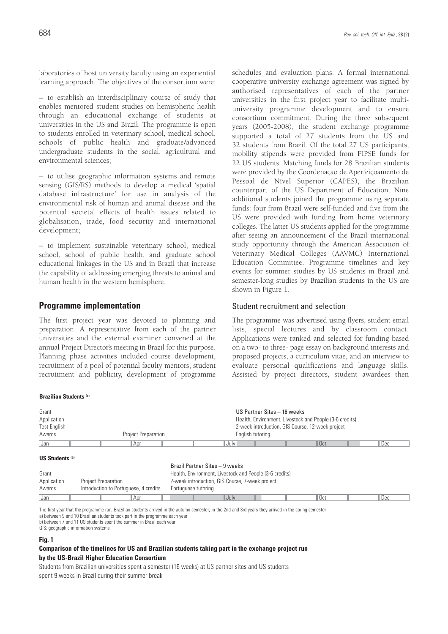laboratories of host university faculty using an experiential learning approach. The objectives of the consortium were:

– to establish an interdisciplinary course of study that enables mentored student studies on hemispheric health through an educational exchange of students at universities in the US and Brazil. The programme is open to students enrolled in veterinary school, medical school, schools of public health and graduate/advanced undergraduate students in the social, agricultural and environmental sciences;

– to utilise geographic information systems and remote sensing (GIS/RS) methods to develop a medical 'spatial database infrastructure' for use in analysis of the environmental risk of human and animal disease and the potential societal effects of health issues related to globalisation, trade, food security and international development;

– to implement sustainable veterinary school, medical school, school of public health, and graduate school educational linkages in the US and in Brazil that increase the capability of addressing emerging threats to animal and human health in the western hemisphere.

#### **Programme implementation**

**Brazilian Students (a)**

The first project year was devoted to planning and preparation. A representative from each of the partner universities and the external examiner convened at the annual Project Director's meeting in Brazil for this purpose. Planning phase activities included course development, recruitment of a pool of potential faculty mentors, student recruitment and publicity, development of programme schedules and evaluation plans. A formal international cooperative university exchange agreement was signed by authorised representatives of each of the partner universities in the first project year to facilitate multiuniversity programme development and to ensure consortium commitment. During the three subsequent years (2005-2008), the student exchange programme supported a total of 27 students from the US and 32 students from Brazil. Of the total 27 US participants, mobility stipends were provided from FIPSE funds for 22 US students. Matching funds for 28 Brazilian students were provided by the Coordenação de Aperfeiçoamento de Pessoal de Nível Superior (CAPES), the Brazilian counterpart of the US Department of Education. Nine additional students joined the programme using separate funds: four from Brazil were self-funded and five from the US were provided with funding from home veterinary colleges. The latter US students applied for the programme after seeing an announcement of the Brazil international study opportunity through the American Association of Veterinary Medical Colleges (AAVMC) International Education Committee. Programme timelines and key events for summer studies by US students in Brazil and semester-long studies by Brazilian students in the US are shown in Figure 1.

#### Student recruitment and selection

The programme was advertised using flyers, student email lists, special lectures and by classroom contact. Applications were ranked and selected for funding based on a two- to three- page essay on background interests and proposed projects, a curriculum vitae, and an interview to evaluate personal qualifications and language skills. Assisted by project directors, student awardees then

| Grant<br>Application<br>Test English<br>Awards | <b>Project Preparation</b>            | US Partner Sites - 16 weeks<br>Health, Environment, Livestock and People (3-6 credits)<br>2-week introduction, GIS Course, 12-week project<br>English tutoring |  |  |  |  |  |  |  |
|------------------------------------------------|---------------------------------------|----------------------------------------------------------------------------------------------------------------------------------------------------------------|--|--|--|--|--|--|--|
|                                                |                                       |                                                                                                                                                                |  |  |  |  |  |  |  |
| Jan                                            | ∥Apr                                  | l Oct<br>Dec<br>July                                                                                                                                           |  |  |  |  |  |  |  |
| <b>US Students (b)</b>                         |                                       |                                                                                                                                                                |  |  |  |  |  |  |  |
|                                                |                                       | Brazil Partner Sites - 9 weeks                                                                                                                                 |  |  |  |  |  |  |  |
| Grant                                          |                                       | Health, Environment, Livestock and People (3-6 credits)                                                                                                        |  |  |  |  |  |  |  |
| Application                                    | <b>Project Preparation</b>            | 2-week introduction, GIS Course, 7-week project                                                                                                                |  |  |  |  |  |  |  |
| Awards                                         | Introduction to Portuguese, 4 credits | Portuguese tutoring                                                                                                                                            |  |  |  |  |  |  |  |

Jan July July July July July Dec Joseph Dec July Dec Joseph Dec July Dec Joseph Dec July Dec July Dec July Dec The first year that the programme ran, Brazilian students arrived in the autumn semester; in the 2nd and 3rd years they arrived in the spring semester

a) between 9 and 10 Brazilian students took part in the programme each year

b) between 7 and 11 US students spent the summer in Brazil each year

GIS: geographic information systems

#### **Fig. 1**

#### **Comparison of the timelines for US and Brazilian students taking part in the exchange project run by the US-Brazil Higher Education Consortium**

Students from Brazilian universities spent a semester (16 weeks) at US partner sites and US students spent 9 weeks in Brazil during their summer break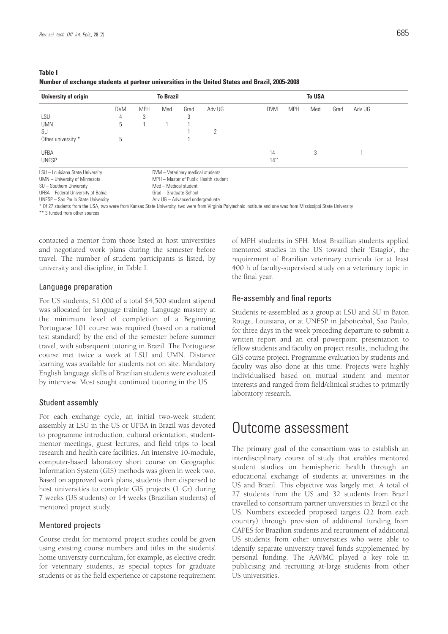| <b>Table I</b>                                                                                 |  |
|------------------------------------------------------------------------------------------------|--|
| Number of exchange students at partner universities in the United States and Brazil, 2005-2008 |  |

| University of origin             |            | <b>To Brazil</b> |                                       |      |        |            | <b>To USA</b> |     |      |        |  |
|----------------------------------|------------|------------------|---------------------------------------|------|--------|------------|---------------|-----|------|--------|--|
|                                  | <b>DVM</b> | <b>MPH</b>       | Med                                   | Grad | Adv UG | <b>DVM</b> | <b>MPH</b>    | Med | Grad | Adv UG |  |
| LSU                              | 4          | 3                |                                       | 3    |        |            |               |     |      |        |  |
| <b>UMN</b>                       | 5          |                  |                                       |      |        |            |               |     |      |        |  |
| SU                               |            |                  |                                       |      | 2      |            |               |     |      |        |  |
| Other university *               | 5          |                  |                                       |      |        |            |               |     |      |        |  |
| <b>UFBA</b>                      |            |                  |                                       |      |        | 14         |               | 3   |      |        |  |
| <b>UNESP</b>                     |            |                  |                                       |      |        | $14***$    |               |     |      |        |  |
| LSU - Louisiana State University |            |                  | DVM - Veterinary medical students     |      |        |            |               |     |      |        |  |
| UMN - University of Minnesota    |            |                  | MPH - Master of Public Health student |      |        |            |               |     |      |        |  |

SU – Southern University Med – Medical student

UFBA – Federal University of Bahia Grad – Graduate School

UNESP – Sao Paulo State University and Marino and Adv UG – Advanced undergraduate

\* Of 27 students from the USA, two were from Kansas State University, two were from Virginia Polytechnic Institute and one was from Mississippi State University

\*\* 3 funded from other sources

contacted a mentor from those listed at host universities and negotiated work plans during the semester before travel. The number of student participants is listed, by university and discipline, in Table I.

#### Language preparation

For US students, \$1,000 of a total \$4,500 student stipend was allocated for language training. Language mastery at the minimum level of completion of a Beginning Portuguese 101 course was required (based on a national test standard) by the end of the semester before summer travel, with subsequent tutoring in Brazil. The Portuguese course met twice a week at LSU and UMN. Distance learning was available for students not on site. Mandatory English language skills of Brazilian students were evaluated by interview. Most sought continued tutoring in the US.

#### Student assembly

For each exchange cycle, an initial two-week student assembly at LSU in the US or UFBA in Brazil was devoted to programme introduction, cultural orientation, studentmentor meetings, guest lectures, and field trips to local research and health care facilities. An intensive 10-module, computer-based laboratory short course on Geographic Information System (GIS) methods was given in week two. Based on approved work plans, students then dispersed to host universities to complete GIS projects (1 Cr) during 7 weeks (US students) or 14 weeks (Brazilian students) of mentored project study.

#### Mentored projects

Course credit for mentored project studies could be given using existing course numbers and titles in the students' home university curriculum, for example, as elective credit for veterinary students, as special topics for graduate students or as the field experience or capstone requirement of MPH students in SPH. Most Brazilian students applied mentored studies in the US toward their 'Estagio', the requirement of Brazilian veterinary curricula for at least 400 h of faculty-supervised study on a veterinary topic in the final year.

#### Re-assembly and final reports

Students re-assembled as a group at LSU and SU in Baton Rouge, Louisiana, or at UNESP in Jaboticabal, Sao Paulo, for three days in the week preceding departure to submit a written report and an oral powerpoint presentation to fellow students and faculty on project results, including the GIS course project. Programme evaluation by students and faculty was also done at this time. Projects were highly individualised based on mutual student and mentor interests and ranged from field/clinical studies to primarily laboratory research.

### Outcome assessment

The primary goal of the consortium was to establish an interdisciplinary course of study that enables mentored student studies on hemispheric health through an educational exchange of students at universities in the US and Brazil. This objective was largely met. A total of 27 students from the US and 32 students from Brazil travelled to consortium partner universities in Brazil or the US. Numbers exceeded proposed targets (22 from each country) through provision of additional funding from CAPES for Brazilian students and recruitment of additional US students from other universities who were able to identify separate university travel funds supplemented by personal funding. The AAVMC played a key role in publicising and recruiting at-large students from other US universities.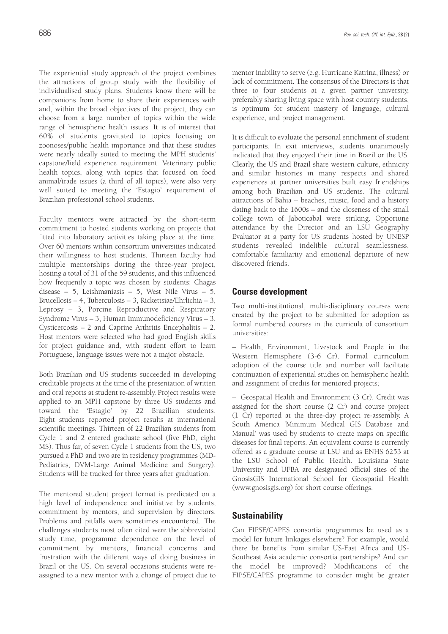The experiential study approach of the project combines the attractions of group study with the flexibility of individualised study plans. Students know there will be companions from home to share their experiences with and, within the broad objectives of the project, they can choose from a large number of topics within the wide range of hemispheric health issues. It is of interest that 60% of students gravitated to topics focusing on zoonoses/public health importance and that these studies were nearly ideally suited to meeting the MPH students' capstone/field experience requirement. Veterinary public health topics, along with topics that focused on food animal/trade issues (a third of all topics), were also very well suited to meeting the 'Estagio' requirement of Brazilian professional school students.

Faculty mentors were attracted by the short-term commitment to hosted students working on projects that fitted into laboratory activities taking place at the time. Over 60 mentors within consortium universities indicated their willingness to host students. Thirteen faculty had multiple mentorships during the three-year project, hosting a total of 31 of the 59 students, and this influenced how frequently a topic was chosen by students: Chagas disease – 5, Leishmaniasis – 5, West Nile Virus – 5, Brucellosis – 4, Tuberculosis – 3, Rickettsiae/Ehrlichia – 3, Leprosy – 3, Porcine Reproductive and Respiratory Syndrome Virus – 3, Human Immunodeficiency Virus – 3, Cysticercosis – 2 and Caprine Arthritis Encephalitis – 2. Host mentors were selected who had good English skills for project guidance and, with student effort to learn Portuguese, language issues were not a major obstacle.

Both Brazilian and US students succeeded in developing creditable projects at the time of the presentation of written and oral reports at student re-assembly. Project results were applied to an MPH capstone by three US students and toward the 'Estagio' by 22 Brazilian students. Eight students reported project results at international scientific meetings. Thirteen of 22 Brazilian students from Cycle 1 and 2 entered graduate school (five PhD, eight MS). Thus far, of seven Cycle 1 students from the US, two pursued a PhD and two are in residency programmes (MD-Pediatrics; DVM-Large Animal Medicine and Surgery). Students will be tracked for three years after graduation.

The mentored student project format is predicated on a high level of independence and initiative by students, commitment by mentors, and supervision by directors. Problems and pitfalls were sometimes encountered. The challenges students most often cited were the abbreviated study time, programme dependence on the level of commitment by mentors, financial concerns and frustration with the different ways of doing business in Brazil or the US. On several occasions students were reassigned to a new mentor with a change of project due to mentor inability to serve (e.g. Hurricane Katrina, illness) or lack of commitment. The consensus of the Directors is that three to four students at a given partner university, preferably sharing living space with host country students, is optimum for student mastery of language, cultural experience, and project management.

It is difficult to evaluate the personal enrichment of student participants. In exit interviews, students unanimously indicated that they enjoyed their time in Brazil or the US. Clearly, the US and Brazil share western culture, ethnicity and similar histories in many respects and shared experiences at partner universities built easy friendships among both Brazilian and US students. The cultural attractions of Bahia – beaches, music, food and a history dating back to the 1600s – and the closeness of the small college town of Jaboticabal were striking. Opportune attendance by the Director and an LSU Geography Evaluator at a party for US students hosted by UNESP students revealed indelible cultural seamlessness, comfortable familiarity and emotional departure of new discovered friends.

### **Course development**

Two multi-institutional, multi-disciplinary courses were created by the project to be submitted for adoption as formal numbered courses in the curricula of consortium universities:

– Health, Environment, Livestock and People in the Western Hemisphere (3-6 Cr). Formal curriculum adoption of the course title and number will facilitate continuation of experiential studies on hemispheric health and assignment of credits for mentored projects;

– Geospatial Health and Environment (3 Cr). Credit was assigned for the short course (2 Cr) and course project (1 Cr) reported at the three-day project re-assembly. A South America 'Minimum Medical GIS Database and Manual' was used by students to create maps on specific diseases for final reports. An equivalent course is currently offered as a graduate course at LSU and as ENHS 6253 at the LSU School of Public Health. Louisiana State University and UFBA are designated official sites of the GnosisGIS International School for Geospatial Health (www.gnosisgis.org) for short course offerings.

### **Sustainability**

Can FIPSE/CAPES consortia programmes be used as a model for future linkages elsewhere? For example, would there be benefits from similar US-East Africa and US-Southeast Asia academic consortia partnerships? And can the model be improved? Modifications of the FIPSE/CAPES programme to consider might be greater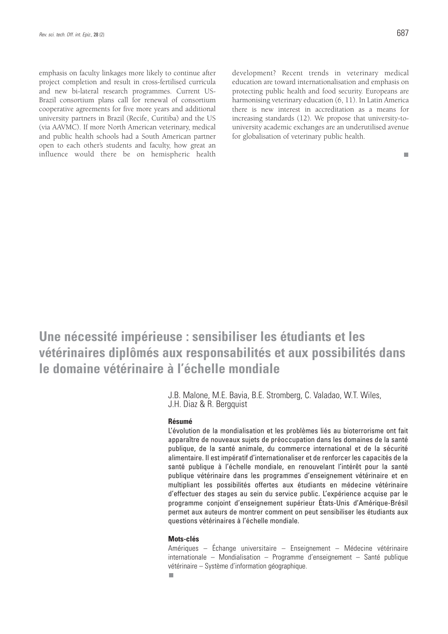emphasis on faculty linkages more likely to continue after project completion and result in cross-fertilised curricula and new bi-lateral research programmes. Current US-Brazil consortium plans call for renewal of consortium cooperative agreements for five more years and additional university partners in Brazil (Recife, Curitiba) and the US (via AAVMC). If more North American veterinary, medical and public health schools had a South American partner open to each other's students and faculty, how great an influence would there be on hemispheric health

development? Recent trends in veterinary medical education are toward internationalisation and emphasis on protecting public health and food security. Europeans are harmonising veterinary education (6, 11). In Latin America there is new interest in accreditation as a means for increasing standards (12). We propose that university-touniversity academic exchanges are an underutilised avenue for globalisation of veterinary public health.

 $\Box$ 

# **Une nécessité impérieuse : sensibiliser les étudiants et les vétérinaires diplômés aux responsabilités et aux possibilités dans le domaine vétérinaire à l'échelle mondiale**

J.B. Malone, M.E. Bavia, B.E. Stromberg, C. Valadao, W.T. Wiles, J.H. Diaz & R. Bergquist

#### **Résumé**

L'évolution de la mondialisation et les problèmes liés au bioterrorisme ont fait apparaître de nouveaux sujets de préoccupation dans les domaines de la santé publique, de la santé animale, du commerce international et de la sécurité alimentaire. Il est impératif d'internationaliser et de renforcer les capacités de la santé publique à l'échelle mondiale, en renouvelant l'intérêt pour la santé publique vétérinaire dans les programmes d'enseignement vétérinaire et en multipliant les possibilités offertes aux étudiants en médecine vétérinaire d'effectuer des stages au sein du service public. L'expérience acquise par le programme conjoint d'enseignement supérieur États-Unis d'Amérique-Brésil permet aux auteurs de montrer comment on peut sensibiliser les étudiants aux questions vétérinaires à l'échelle mondiale.

#### **Mots-clés**

Amériques – Échange universitaire – Enseignement – Médecine vétérinaire internationale – Mondialisation – Programme d'enseignement – Santé publique vétérinaire – Système d'information géographique.